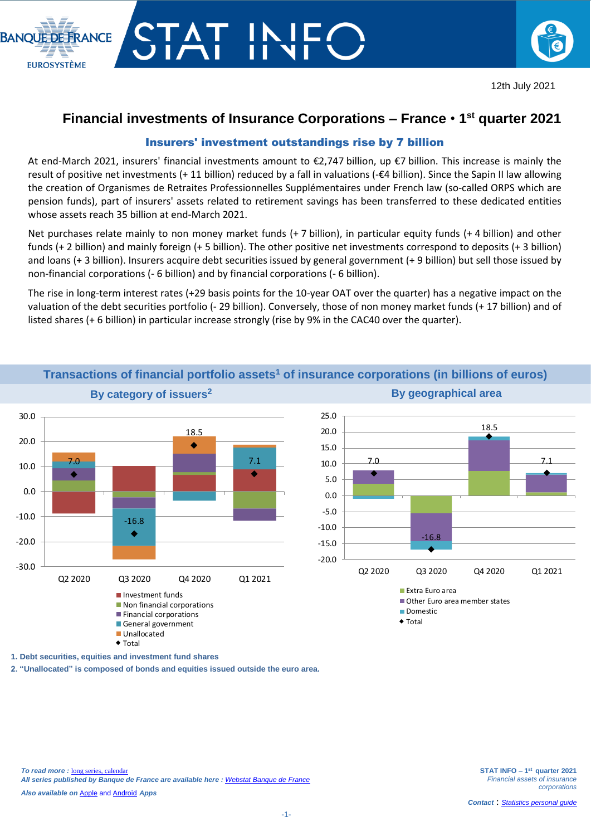



## **Financial investments of Insurance Corporations – France** • **1 st quarter 2021**

## Insurers' investment outstandings rise by 7 billion

At end-March 2021, insurers' financial investments amount to €2,747 billion, up €7 billion. This increase is mainly the result of positive net investments (+ 11 billion) reduced by a fall in valuations (-€4 billion). Since the Sapin II law allowing the creation of Organismes de Retraites Professionnelles Supplémentaires under French law (so-called ORPS which are pension funds), part of insurers' assets related to retirement savings has been transferred to these dedicated entities whose assets reach 35 billion at end-March 2021.

Net purchases relate mainly to non money market funds (+ 7 billion), in particular equity funds (+ 4 billion) and other funds (+ 2 billion) and mainly foreign (+ 5 billion). The other positive net investments correspond to deposits (+ 3 billion) and loans (+ 3 billion). Insurers acquire debt securities issued by general government (+ 9 billion) but sell those issued by non-financial corporations (- 6 billion) and by financial corporations (- 6 billion).

The rise in long-term interest rates (+29 basis points for the 10-year OAT over the quarter) has a negative impact on the valuation of the debt securities portfolio (- 29 billion). Conversely, those of non money market funds (+ 17 billion) and of listed shares (+ 6 billion) in particular increase strongly (rise by 9% in the CAC40 over the quarter).



**Transactions of financial portfolio assets<sup>1</sup> of insurance corporations (in billions of euros)**

**1. Debt securities, equities and investment fund shares**

**2. "Unallocated" is composed of bonds and equities issued outside the euro area.**